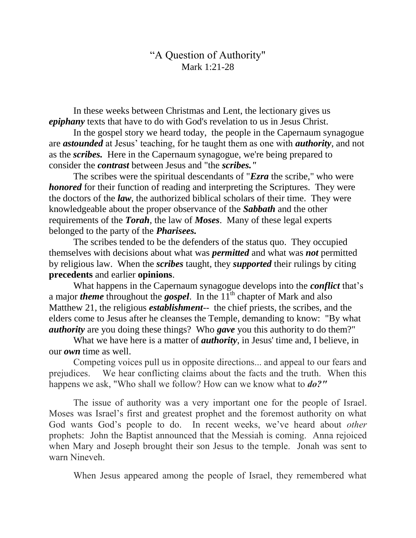## "A Question of Authority" Mark 1:21-28

In these weeks between Christmas and Lent, the lectionary gives us *epiphany* texts that have to do with God's revelation to us in Jesus Christ.

In the gospel story we heard today, the people in the Capernaum synagogue are *astounded* at Jesus' teaching, for he taught them as one with *authority*, and not as the *scribes.* Here in the Capernaum synagogue, we're being prepared to consider the *contrast* between Jesus and "the *scribes."*

The scribes were the spiritual descendants of "*Ezra* the scribe," who were *honored* for their function of reading and interpreting the Scriptures. They were the doctors of the *law*, the authorized biblical scholars of their time. They were knowledgeable about the proper observance of the *Sabbath* and the other requirements of the *Torah*, the law of *Moses*. Many of these legal experts belonged to the party of the *Pharisees.*

The scribes tended to be the defenders of the status quo. They occupied themselves with decisions about what was *permitted* and what was *not* permitted by religious law. When the *scribes* taught, they *supported* their rulings by citing **precedents** and earlier **opinions**.

What happens in the Capernaum synagogue develops into the *conflict* that's a major *theme* throughout the **gospel**. In the 11<sup>th</sup> chapter of Mark and also Matthew 21, the religious *establishment*-- the chief priests, the scribes, and the elders come to Jesus after he cleanses the Temple, demanding to know: "By what *authority* are you doing these things? Who *gave* you this authority to do them?"

What we have here is a matter of *authority*, in Jesus' time and, I believe, in our *own* time as well.

Competing voices pull us in opposite directions... and appeal to our fears and prejudices. We hear conflicting claims about the facts and the truth. When this happens we ask, "Who shall we follow? How can we know what to *do?"*

The issue of authority was a very important one for the people of Israel. Moses was Israel's first and greatest prophet and the foremost authority on what God wants God's people to do. In recent weeks, we've heard about *other* prophets: John the Baptist announced that the Messiah is coming. Anna rejoiced when Mary and Joseph brought their son Jesus to the temple. Jonah was sent to warn Nineveh.

When Jesus appeared among the people of Israel, they remembered what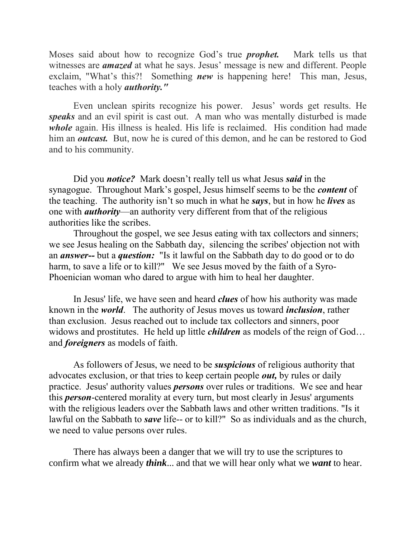Moses said about how to recognize God's true *prophet.* Mark tells us that witnesses are *amazed* at what he says. Jesus' message is new and different. People exclaim, "What's this?! Something *new* is happening here! This man, Jesus, teaches with a holy *authority."*

Even unclean spirits recognize his power. Jesus' words get results. He *speaks* and an evil spirit is cast out. A man who was mentally disturbed is made *whole* again. His illness is healed. His life is reclaimed. His condition had made him an *outcast*. But, now he is cured of this demon, and he can be restored to God and to his community.

Did you *notice?* Mark doesn't really tell us what Jesus *said* in the synagogue. Throughout Mark's gospel, Jesus himself seems to be the *content* of the teaching. The authority isn't so much in what he *says*, but in how he *lives* as one with *authority*—an authority very different from that of the religious authorities like the scribes.

Throughout the gospel, we see Jesus eating with tax collectors and sinners; we see Jesus healing on the Sabbath day, silencing the scribes' objection not with an *answer--* but a *question:* "Is it lawful on the Sabbath day to do good or to do harm, to save a life or to kill?" We see Jesus moved by the faith of a Syro-Phoenician woman who dared to argue with him to heal her daughter.

In Jesus' life, we have seen and heard *clues* of how his authority was made known in the *world*. The authority of Jesus moves us toward *inclusion*, rather than exclusion. Jesus reached out to include tax collectors and sinners, poor widows and prostitutes. He held up little *children* as models of the reign of God… and *foreigners* as models of faith.

As followers of Jesus, we need to be *suspicious* of religious authority that advocates exclusion, or that tries to keep certain people *out,* by rules or daily practice. Jesus' authority values *persons* over rules or traditions. We see and hear this *person*-centered morality at every turn, but most clearly in Jesus' arguments with the religious leaders over the Sabbath laws and other written traditions. "Is it lawful on the Sabbath to *save* life-- or to kill?" So as individuals and as the church, we need to value persons over rules.

There has always been a danger that we will try to use the scriptures to confirm what we already *think*... and that we will hear only what we *want* to hear.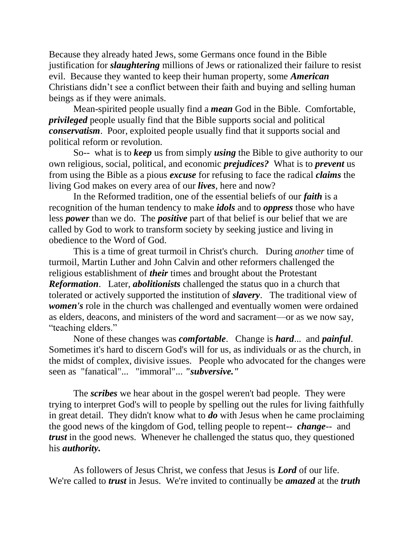Because they already hated Jews, some Germans once found in the Bible justification for *slaughtering* millions of Jews or rationalized their failure to resist evil. Because they wanted to keep their human property, some *American* Christians didn't see a conflict between their faith and buying and selling human beings as if they were animals.

Mean-spirited people usually find a *mean* God in the Bible. Comfortable, *privileged* people usually find that the Bible supports social and political *conservatism*. Poor, exploited people usually find that it supports social and political reform or revolution.

So-- what is to *keep* us from simply *using* the Bible to give authority to our own religious, social, political, and economic *prejudices?* What is to *prevent* us from using the Bible as a pious *excuse* for refusing to face the radical *claims* the living God makes on every area of our *lives*, here and now?

In the Reformed tradition, one of the essential beliefs of our *faith* is a recognition of the human tendency to make *idols* and to *oppress* those who have less *power* than we do. The *positive* part of that belief is our belief that we are called by God to work to transform society by seeking justice and living in obedience to the Word of God.

This is a time of great turmoil in Christ's church. During *another* time of turmoil, Martin Luther and John Calvin and other reformers challenged the religious establishment of *their* times and brought about the Protestant *Reformation*.Later, *abolitionists* challenged the status quo in a church that tolerated or actively supported the institution of *slavery*. The traditional view of *women's* role in the church was challenged and eventually women were ordained as elders, deacons, and ministers of the word and sacrament—or as we now say, "teaching elders."

None of these changes was *comfortable*. Change is *hard*... and *painful*. Sometimes it's hard to discern God's will for us, as individuals or as the church, in the midst of complex, divisive issues. People who advocated for the changes were seen as "fanatical"... "immoral"... *"subversive."*

The *scribes* we hear about in the gospel weren't bad people. They were trying to interpret God's will to people by spelling out the rules for living faithfully in great detail. They didn't know what to *do* with Jesus when he came proclaiming the good news of the kingdom of God, telling people to repent-- *change*-- and *trust* in the good news. Whenever he challenged the status quo, they questioned his *authority.* 

As followers of Jesus Christ, we confess that Jesus is *Lord* of our life. We're called to *trust* in Jesus. We're invited to continually be *amazed* at the *truth*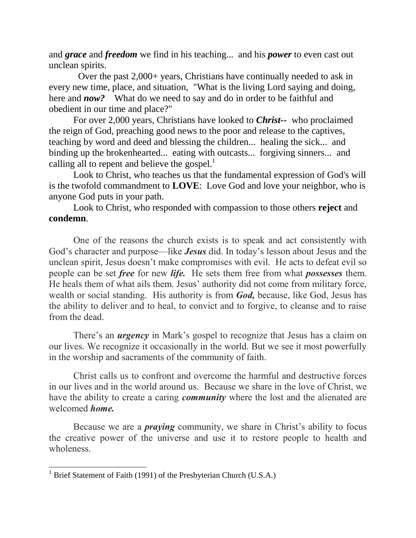and *grace* and *freedom* we find in his teaching... and his *power* to even cast out unclean spirits.

 Over the past 2,000+ years, Christians have continually needed to ask in every new time, place, and situation, "What is the living Lord saying and doing, here and *now?* What do we need to say and do in order to be faithful and obedient in our time and place?"

For over 2,000 years, Christians have looked to *Christ--* who proclaimed the reign of God, preaching good news to the poor and release to the captives, teaching by word and deed and blessing the children... healing the sick... and binding up the brokenhearted... eating with outcasts... forgiving sinners... and calling all to repent and believe the gospel. $<sup>1</sup>$ </sup>

Look to Christ, who teaches us that the fundamental expression of God's will is the twofold commandment to **LOVE**: Love God and love your neighbor, who is anyone God puts in your path.

Look to Christ, who responded with compassion to those others **reject** and **condemn**.

One of the reasons the church exists is to speak and act consistently with God's character and purpose—like *Jesus* did. In today's lesson about Jesus and the unclean spirit, Jesus doesn't make compromises with evil. He acts to defeat evil so people can be set *free* for new *life.* He sets them free from what *possesses* them. He heals them of what ails them. Jesus' authority did not come from military force, wealth or social standing. His authority is from *God,* because, like God, Jesus has the ability to deliver and to heal, to convict and to forgive, to cleanse and to raise from the dead.

There's an *urgency* in Mark's gospel to recognize that Jesus has a claim on our lives. We recognize it occasionally in the world. But we see it most powerfully in the worship and sacraments of the community of faith.

Christ calls us to confront and overcome the harmful and destructive forces in our lives and in the world around us. Because we share in the love of Christ, we have the ability to create a caring *community* where the lost and the alienated are welcomed *home.*

Because we are a *praying* community, we share in Christ's ability to focus the creative power of the universe and use it to restore people to health and wholeness.

 $\overline{a}$ 

 $1$  Brief Statement of Faith (1991) of the Presbyterian Church (U.S.A.)